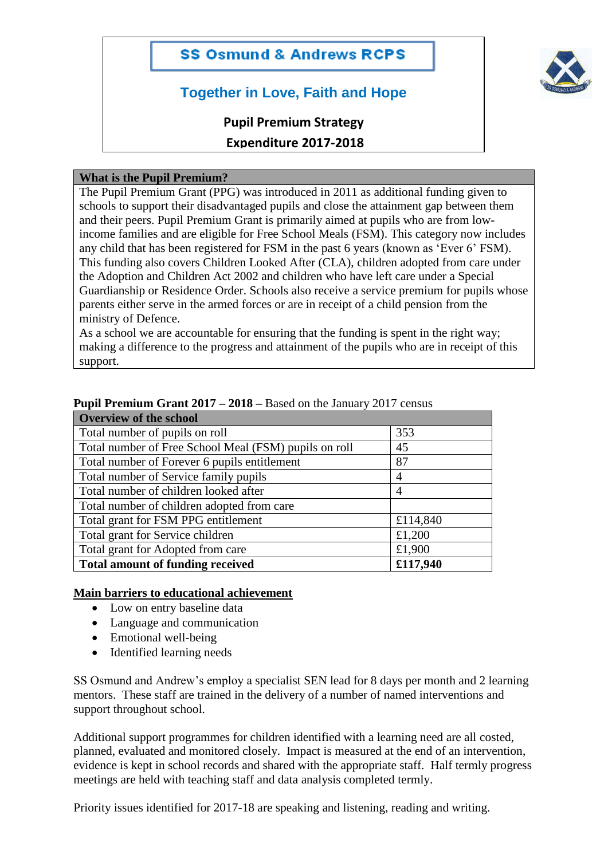## **SS Osmund & Andrews RCPS**

# **Together in Love, Faith and Hope**

# **Pupil Premium Strategy**

# **Expenditure 2017-2018**

#### **What is the Pupil Premium?**

The Pupil Premium Grant (PPG) was introduced in 2011 as additional funding given to schools to support their disadvantaged pupils and close the attainment gap between them and their peers. Pupil Premium Grant is primarily aimed at pupils who are from lowincome families and are eligible for Free School Meals (FSM). This category now includes any child that has been registered for FSM in the past 6 years (known as 'Ever 6' FSM). This funding also covers Children Looked After (CLA), children adopted from care under the Adoption and Children Act 2002 and children who have left care under a Special Guardianship or Residence Order. Schools also receive a service premium for pupils whose parents either serve in the armed forces or are in receipt of a child pension from the ministry of Defence.

As a school we are accountable for ensuring that the funding is spent in the right way; making a difference to the progress and attainment of the pupils who are in receipt of this support.

| <b>Overview of the school</b>                         |                |  |  |  |
|-------------------------------------------------------|----------------|--|--|--|
| Total number of pupils on roll                        | 353            |  |  |  |
| Total number of Free School Meal (FSM) pupils on roll | 45             |  |  |  |
| Total number of Forever 6 pupils entitlement          | 87             |  |  |  |
| Total number of Service family pupils                 | 4              |  |  |  |
| Total number of children looked after                 | $\overline{4}$ |  |  |  |
| Total number of children adopted from care            |                |  |  |  |
| Total grant for FSM PPG entitlement                   | £114,840       |  |  |  |
| Total grant for Service children                      | £1,200         |  |  |  |
| Total grant for Adopted from care                     | £1,900         |  |  |  |
| <b>Total amount of funding received</b>               | £117,940       |  |  |  |

#### **Pupil Premium Grant 2017 – 2018 –** Based on the January 2017 census

#### **Main barriers to educational achievement**

- Low on entry baseline data
- Language and communication
- Emotional well-being
- Identified learning needs

SS Osmund and Andrew's employ a specialist SEN lead for 8 days per month and 2 learning mentors. These staff are trained in the delivery of a number of named interventions and support throughout school.

Additional support programmes for children identified with a learning need are all costed, planned, evaluated and monitored closely. Impact is measured at the end of an intervention, evidence is kept in school records and shared with the appropriate staff. Half termly progress meetings are held with teaching staff and data analysis completed termly.

Priority issues identified for 2017-18 are speaking and listening, reading and writing.